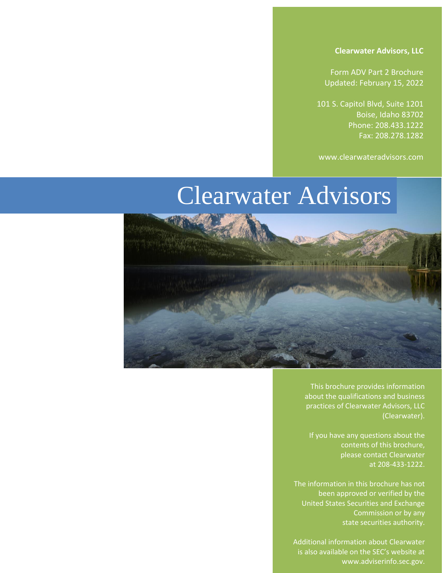Form ADV Part 2 Brochure Updated: February 15, 2022

101 S. Capitol Blvd, Suite 1201 Boise, Idaho 83702 Phone: 208.433.1222 Fax: 208.278.1282

www.clearwateradvisors.com

# Clearwater Advisors



This brochure provides information about the qualifications and business practices of Clearwater Advisors, LLC (Clearwater).

If you have any questions about the contents of this brochure, please contact Clearwater at 208-433-1222.

The information in this brochure has not been approved or verified by the United States Securities and Exchange Commission or by any state securities authority.

Additional information about Clearwater is also available on the SEC's website at [www.adviserinfo.sec.gov.](http://www.adviserinfo.sec.gov/)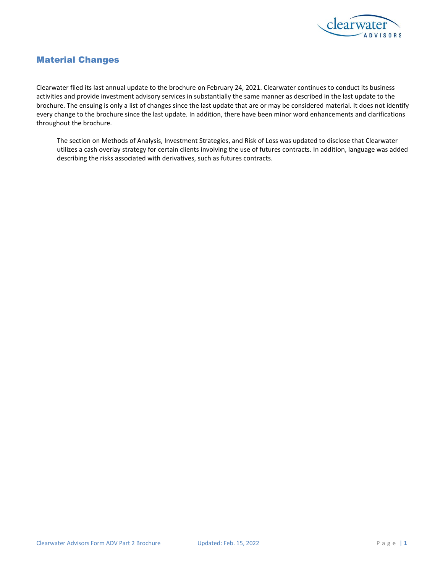

# <span id="page-1-0"></span>Material Changes

Clearwater filed its last annual update to the brochure on February 24, 2021. Clearwater continues to conduct its business activities and provide investment advisory services in substantially the same manner as described in the last update to the brochure. The ensuing is only a list of changes since the last update that are or may be considered material. It does not identify every change to the brochure since the last update. In addition, there have been minor word enhancements and clarifications throughout the brochure.

The section on Methods of Analysis, Investment Strategies, and Risk of Loss was updated to disclose that Clearwater utilizes a cash overlay strategy for certain clients involving the use of futures contracts. In addition, language was added describing the risks associated with derivatives, such as futures contracts.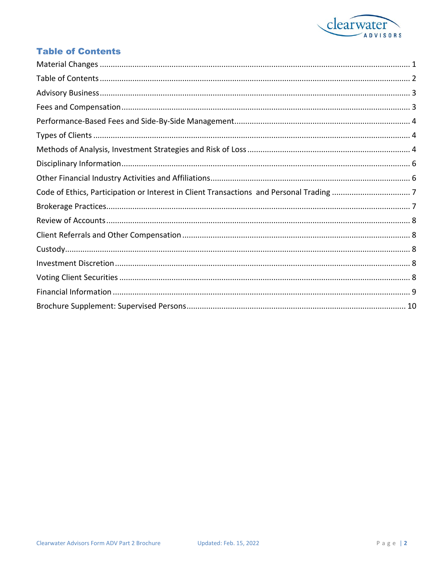

# <span id="page-2-0"></span>**Table of Contents**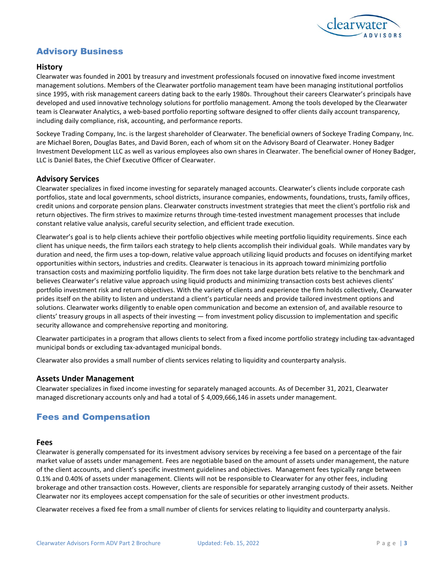

# <span id="page-3-0"></span>Advisory Business

### **History**

Clearwater was founded in 2001 by treasury and investment professionals focused on innovative fixed income investment management solutions. Members of the Clearwater portfolio management team have been managing institutional portfolios since 1995, with risk management careers dating back to the early 1980s. Throughout their careers Clearwater's principals have developed and used innovative technology solutions for portfolio management. Among the tools developed by the Clearwater team is Clearwater Analytics, a web-based portfolio reporting software designed to offer clients daily account transparency, including daily compliance, risk, accounting, and performance reports.

Sockeye Trading Company, Inc. is the largest shareholder of Clearwater. The beneficial owners of Sockeye Trading Company, Inc. are Michael Boren, Douglas Bates, and David Boren, each of whom sit on the Advisory Board of Clearwater. Honey Badger Investment Development LLC as well as various employees also own shares in Clearwater. The beneficial owner of Honey Badger, LLC is Daniel Bates, the Chief Executive Officer of Clearwater.

### **Advisory Services**

Clearwater specializes in fixed income investing for separately managed accounts. Clearwater's clients include corporate cash portfolios, state and local governments, school districts, insurance companies, endowments, foundations, trusts, family offices, credit unions and corporate pension plans. Clearwater constructs investment strategies that meet the client's portfolio risk and return objectives. The firm strives to maximize returns through time-tested investment management processes that include constant relative value analysis, careful security selection, and efficient trade execution.

Clearwater's goal is to help clients achieve their portfolio objectives while meeting portfolio liquidity requirements. Since each client has unique needs, the firm tailors each strategy to help clients accomplish their individual goals. While mandates vary by duration and need, the firm uses a top-down, relative value approach utilizing liquid products and focuses on identifying market opportunities within sectors, industries and credits. Clearwater is tenacious in its approach toward minimizing portfolio transaction costs and maximizing portfolio liquidity. The firm does not take large duration bets relative to the benchmark and believes Clearwater's relative value approach using liquid products and minimizing transaction costs best achieves clients' portfolio investment risk and return objectives. With the variety of clients and experience the firm holds collectively, Clearwater prides itself on the ability to listen and understand a client's particular needs and provide tailored investment options and solutions. Clearwater works diligently to enable open communication and become an extension of, and available resource to clients' treasury groups in all aspects of their investing — from investment policy discussion to implementation and specific security allowance and comprehensive reporting and monitoring.

Clearwater participates in a program that allows clients to select from a fixed income portfolio strategy including tax-advantaged municipal bonds or excluding tax-advantaged municipal bonds.

Clearwater also provides a small number of clients services relating to liquidity and counterparty analysis.

### **Assets Under Management**

<span id="page-3-1"></span>Clearwater specializes in fixed income investing for separately managed accounts. As of December 31, 2021, Clearwater managed discretionary accounts only and had a total of \$4,009,666,146 in assets under management.

# Fees and Compensation

### **Fees**

Clearwater is generally compensated for its investment advisory services by receiving a fee based on a percentage of the fair market value of assets under management. Fees are negotiable based on the amount of assets under management, the nature of the client accounts, and client's specific investment guidelines and objectives. Management fees typically range between 0.1% and 0.40% of assets under management. Clients will not be responsible to Clearwater for any other fees, including brokerage and other transaction costs. However, clients are responsible for separately arranging custody of their assets. Neither Clearwater nor its employees accept compensation for the sale of securities or other investment products.

Clearwater receives a fixed fee from a small number of clients for services relating to liquidity and counterparty analysis.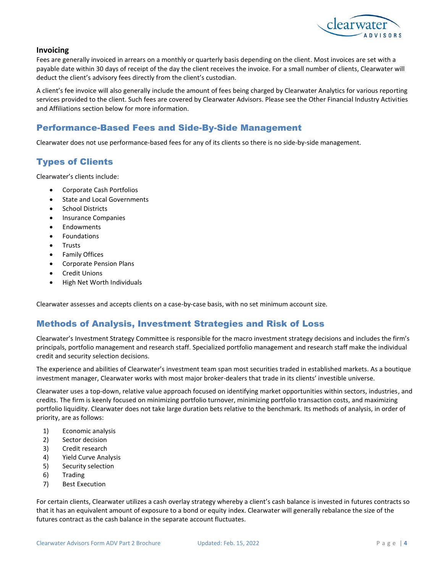

### **Invoicing**

Fees are generally invoiced in arrears on a monthly or quarterly basis depending on the client. Most invoices are set with a payable date within 30 days of receipt of the day the client receives the invoice. For a small number of clients, Clearwater will deduct the client's advisory fees directly from the client's custodian.

A client's fee invoice will also generally include the amount of fees being charged by Clearwater Analytics for various reporting services provided to the client. Such fees are covered by Clearwater Advisors. Please see the Other Financial Industry Activities and Affiliations section below for more information.

# <span id="page-4-0"></span>Performance-Based Fees and Side-By-Side Management

Clearwater does not use performance-based fees for any of its clients so there is no side-by-side management.

# <span id="page-4-1"></span>Types of Clients

Clearwater's clients include:

- Corporate Cash Portfolios
- State and Local Governments
- **School Districts**
- Insurance Companies
- **Endowments**
- **Foundations**
- **Trusts**
- Family Offices
- Corporate Pension Plans
- **Credit Unions**
- High Net Worth Individuals

Clearwater assesses and accepts clients on a case-by-case basis, with no set minimum account size.

# <span id="page-4-2"></span>Methods of Analysis, Investment Strategies and Risk of Loss

Clearwater's Investment Strategy Committee is responsible for the macro investment strategy decisions and includes the firm's principals, portfolio management and research staff. Specialized portfolio management and research staff make the individual credit and security selection decisions.

The experience and abilities of Clearwater's investment team span most securities traded in established markets. As a boutique investment manager, Clearwater works with most major broker-dealers that trade in its clients' investible universe.

Clearwater uses a top-down, relative value approach focused on identifying market opportunities within sectors, industries, and credits. The firm is keenly focused on minimizing portfolio turnover, minimizing portfolio transaction costs, and maximizing portfolio liquidity. Clearwater does not take large duration bets relative to the benchmark. Its methods of analysis, in order of priority, are as follows:

- 1) Economic analysis
- 2) Sector decision
- 3) Credit research
- 4) Yield Curve Analysis
- 5) Security selection
- 6) Trading
- 7) Best Execution

For certain clients, Clearwater utilizes a cash overlay strategy whereby a client's cash balance is invested in futures contracts so that it has an equivalent amount of exposure to a bond or equity index. Clearwater will generally rebalance the size of the futures contract as the cash balance in the separate account fluctuates.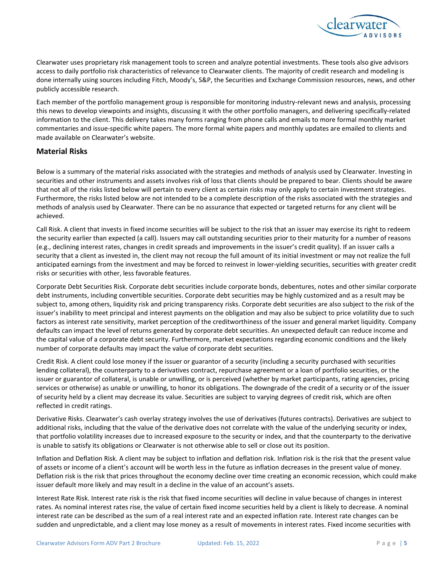

Clearwater uses proprietary risk management tools to screen and analyze potential investments. These tools also give advisors access to daily portfolio risk characteristics of relevance to Clearwater clients. The majority of credit research and modeling is done internally using sources including Fitch, Moody's, S&P, the Securities and Exchange Commission resources, news, and other publicly accessible research.

Each member of the portfolio management group is responsible for monitoring industry-relevant news and analysis, processing this news to develop viewpoints and insights, discussing it with the other portfolio managers, and delivering specifically-related information to the client. This delivery takes many forms ranging from phone calls and emails to more formal monthly market commentaries and issue-specific white papers. The more formal white papers and monthly updates are emailed to clients and made available on Clearwater's website.

### **Material Risks**

Below is a summary of the material risks associated with the strategies and methods of analysis used by Clearwater. Investing in securities and other instruments and assets involves risk of loss that clients should be prepared to bear. Clients should be aware that not all of the risks listed below will pertain to every client as certain risks may only apply to certain investment strategies. Furthermore, the risks listed below are not intended to be a complete description of the risks associated with the strategies and methods of analysis used by Clearwater. There can be no assurance that expected or targeted returns for any client will be achieved.

Call Risk. A client that invests in fixed income securities will be subject to the risk that an issuer may exercise its right to redeem the security earlier than expected (a call). Issuers may call outstanding securities prior to their maturity for a number of reasons (e.g., declining interest rates, changes in credit spreads and improvements in the issuer's credit quality). If an issuer calls a security that a client as invested in, the client may not recoup the full amount of its initial investment or may not realize the full anticipated earnings from the investment and may be forced to reinvest in lower-yielding securities, securities with greater credit risks or securities with other, less favorable features.

Corporate Debt Securities Risk. Corporate debt securities include corporate bonds, debentures, notes and other similar corporate debt instruments, including convertible securities. Corporate debt securities may be highly customized and as a result may be subject to, among others, liquidity risk and pricing transparency risks. Corporate debt securities are also subject to the risk of the issuer's inability to meet principal and interest payments on the obligation and may also be subject to price volatility due to such factors as interest rate sensitivity, market perception of the creditworthiness of the issuer and general market liquidity. Company defaults can impact the level of returns generated by corporate debt securities. An unexpected default can reduce income and the capital value of a corporate debt security. Furthermore, market expectations regarding economic conditions and the likely number of corporate defaults may impact the value of corporate debt securities.

Credit Risk. A client could lose money if the issuer or guarantor of a security (including a security purchased with securities lending collateral), the counterparty to a derivatives contract, repurchase agreement or a loan of portfolio securities, or the issuer or guarantor of collateral, is unable or unwilling, or is perceived (whether by market participants, rating agencies, pricing services or otherwise) as unable or unwilling, to honor its obligations. The downgrade of the credit of a security or of the issuer of security held by a client may decrease its value. Securities are subject to varying degrees of credit risk, which are often reflected in credit ratings.

Derivative Risks. Clearwater's cash overlay strategy involves the use of derivatives (futures contracts). Derivatives are subject to additional risks, including that the value of the derivative does not correlate with the value of the underlying security or index, that portfolio volatility increases due to increased exposure to the security or index, and that the counterparty to the derivative is unable to satisfy its obligations or Clearwater is not otherwise able to sell or close out its position.

Inflation and Deflation Risk. A client may be subject to inflation and deflation risk. Inflation risk is the risk that the present value of assets or income of a client's account will be worth less in the future as inflation decreases in the present value of money. Deflation risk is the risk that prices throughout the economy decline over time creating an economic recession, which could make issuer default more likely and may result in a decline in the value of an account's assets.

Interest Rate Risk. Interest rate risk is the risk that fixed income securities will decline in value because of changes in interest rates. As nominal interest rates rise, the value of certain fixed income securities held by a client is likely to decrease. A nominal interest rate can be described as the sum of a real interest rate and an expected inflation rate. Interest rate changes can be sudden and unpredictable, and a client may lose money as a result of movements in interest rates. Fixed income securities with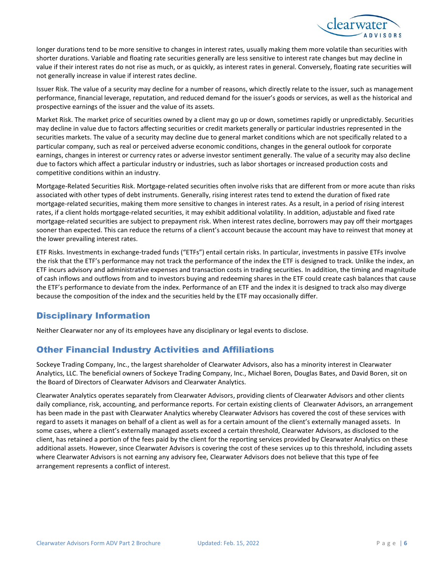

longer durations tend to be more sensitive to changes in interest rates, usually making them more volatile than securities with shorter durations. Variable and floating rate securities generally are less sensitive to interest rate changes but may decline in value if their interest rates do not rise as much, or as quickly, as interest rates in general. Conversely, floating rate securities will not generally increase in value if interest rates decline.

Issuer Risk. The value of a security may decline for a number of reasons, which directly relate to the issuer, such as management performance, financial leverage, reputation, and reduced demand for the issuer's goods or services, as well as the historical and prospective earnings of the issuer and the value of its assets.

Market Risk. The market price of securities owned by a client may go up or down, sometimes rapidly or unpredictably. Securities may decline in value due to factors affecting securities or credit markets generally or particular industries represented in the securities markets. The value of a security may decline due to general market conditions which are not specifically related to a particular company, such as real or perceived adverse economic conditions, changes in the general outlook for corporate earnings, changes in interest or currency rates or adverse investor sentiment generally. The value of a security may also decline due to factors which affect a particular industry or industries, such as labor shortages or increased production costs and competitive conditions within an industry.

Mortgage-Related Securities Risk. Mortgage-related securities often involve risks that are different from or more acute than risks associated with other types of debt instruments. Generally, rising interest rates tend to extend the duration of fixed rate mortgage-related securities, making them more sensitive to changes in interest rates. As a result, in a period of rising interest rates, if a client holds mortgage-related securities, it may exhibit additional volatility. In addition, adjustable and fixed rate mortgage-related securities are subject to prepayment risk. When interest rates decline, borrowers may pay off their mortgages sooner than expected. This can reduce the returns of a client's account because the account may have to reinvest that money at the lower prevailing interest rates.

ETF Risks. Investments in exchange-traded funds ("ETFs") entail certain risks. In particular, investments in passive ETFs involve the risk that the ETF's performance may not track the performance of the index the ETF is designed to track. Unlike the index, an ETF incurs advisory and administrative expenses and transaction costs in trading securities. In addition, the timing and magnitude of cash inflows and outflows from and to investors buying and redeeming shares in the ETF could create cash balances that cause the ETF's performance to deviate from the index. Performance of an ETF and the index it is designed to track also may diverge because the composition of the index and the securities held by the ETF may occasionally differ.

# <span id="page-6-0"></span>Disciplinary Information

Neither Clearwater nor any of its employees have any disciplinary or legal events to disclose.

# <span id="page-6-1"></span>Other Financial Industry Activities and Affiliations

Sockeye Trading Company, Inc., the largest shareholder of Clearwater Advisors, also has a minority interest in Clearwater Analytics, LLC. The beneficial owners of Sockeye Trading Company, Inc., Michael Boren, Douglas Bates, and David Boren, sit on the Board of Directors of Clearwater Advisors and Clearwater Analytics.

Clearwater Analytics operates separately from Clearwater Advisors, providing clients of Clearwater Advisors and other clients daily compliance, risk, accounting, and performance reports. For certain existing clients of Clearwater Advisors, an arrangement has been made in the past with Clearwater Analytics whereby Clearwater Advisors has covered the cost of these services with regard to assets it manages on behalf of a client as well as for a certain amount of the client's externally managed assets. In some cases, where a client's externally managed assets exceed a certain threshold, Clearwater Advisors, as disclosed to the client, has retained a portion of the fees paid by the client for the reporting services provided by Clearwater Analytics on these additional assets. However, since Clearwater Advisors is covering the cost of these services up to this threshold, including assets where Clearwater Advisors is not earning any advisory fee, Clearwater Advisors does not believe that this type of fee arrangement represents a conflict of interest.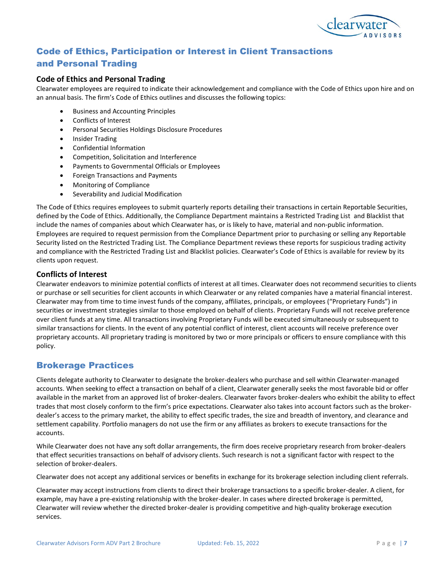

# <span id="page-7-0"></span>Code of Ethics, Participation or Interest in Client Transactions

# and Personal Trading

# **Code of Ethics and Personal Trading**

Clearwater employees are required to indicate their acknowledgement and compliance with the Code of Ethics upon hire and on an annual basis. The firm's Code of Ethics outlines and discusses the following topics:

- Business and Accounting Principles
- Conflicts of Interest
- Personal Securities Holdings Disclosure Procedures
- Insider Trading
- Confidential Information
- Competition, Solicitation and Interference
- Payments to Governmental Officials or Employees
- Foreign Transactions and Payments
- Monitoring of Compliance
- Severability and Judicial Modification

The Code of Ethics requires employees to submit quarterly reports detailing their transactions in certain Reportable Securities, defined by the Code of Ethics. Additionally, the Compliance Department maintains a Restricted Trading List and Blacklist that include the names of companies about which Clearwater has, or is likely to have, material and non-public information. Employees are required to request permission from the Compliance Department prior to purchasing or selling any Reportable Security listed on the Restricted Trading List. The Compliance Department reviews these reports for suspicious trading activity and compliance with the Restricted Trading List and Blacklist policies. Clearwater's Code of Ethics is available for review by its clients upon request.

### **Conflicts of Interest**

Clearwater endeavors to minimize potential conflicts of interest at all times. Clearwater does not recommend securities to clients or purchase or sell securities for client accounts in which Clearwater or any related companies have a material financial interest. Clearwater may from time to time invest funds of the company, affiliates, principals, or employees ("Proprietary Funds") in securities or investment strategies similar to those employed on behalf of clients. Proprietary Funds will not receive preference over client funds at any time. All transactions involving Proprietary Funds will be executed simultaneously or subsequent to similar transactions for clients. In the event of any potential conflict of interest, client accounts will receive preference over proprietary accounts. All proprietary trading is monitored by two or more principals or officers to ensure compliance with this policy.

# <span id="page-7-1"></span>Brokerage Practices

Clients delegate authority to Clearwater to designate the broker-dealers who purchase and sell within Clearwater-managed accounts. When seeking to effect a transaction on behalf of a client, Clearwater generally seeks the most favorable bid or offer available in the market from an approved list of broker-dealers. Clearwater favors broker-dealers who exhibit the ability to effect trades that most closely conform to the firm's price expectations. Clearwater also takes into account factors such as the brokerdealer's access to the primary market, the ability to effect specific trades, the size and breadth of inventory, and clearance and settlement capability. Portfolio managers do not use the firm or any affiliates as brokers to execute transactions for the accounts.

While Clearwater does not have any soft dollar arrangements, the firm does receive proprietary research from broker-dealers that effect securities transactions on behalf of advisory clients. Such research is not a significant factor with respect to the selection of broker-dealers.

Clearwater does not accept any additional services or benefits in exchange for its brokerage selection including client referrals.

Clearwater may accept instructions from clients to direct their brokerage transactions to a specific broker-dealer. A client, for example, may have a pre-existing relationship with the broker-dealer. In cases where directed brokerage is permitted, Clearwater will review whether the directed broker-dealer is providing competitive and high-quality brokerage execution services.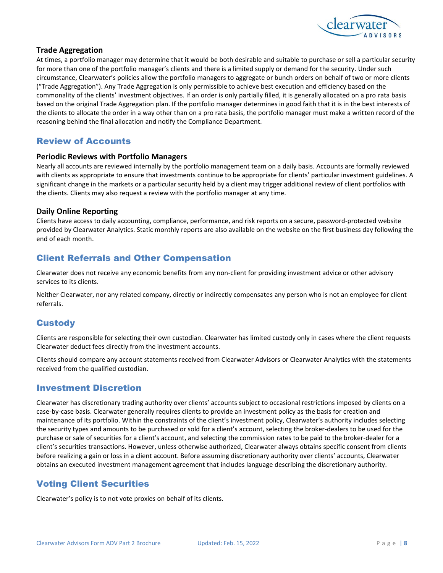

### **Trade Aggregation**

At times, a portfolio manager may determine that it would be both desirable and suitable to purchase or sell a particular security for more than one of the portfolio manager's clients and there is a limited supply or demand for the security. Under such circumstance, Clearwater's policies allow the portfolio managers to aggregate or bunch orders on behalf of two or more clients ("Trade Aggregation"). Any Trade Aggregation is only permissible to achieve best execution and efficiency based on the commonality of the clients' investment objectives. If an order is only partially filled, it is generally allocated on a pro rata basis based on the original Trade Aggregation plan. If the portfolio manager determines in good faith that it is in the best interests of the clients to allocate the order in a way other than on a pro rata basis, the portfolio manager must make a written record of the reasoning behind the final allocation and notify the Compliance Department.

# <span id="page-8-0"></span>Review of Accounts

### **Periodic Reviews with Portfolio Managers**

Nearly all accounts are reviewed internally by the portfolio management team on a daily basis. Accounts are formally reviewed with clients as appropriate to ensure that investments continue to be appropriate for clients' particular investment guidelines. A significant change in the markets or a particular security held by a client may trigger additional review of client portfolios with the clients. Clients may also request a review with the portfolio manager at any time.

### **Daily Online Reporting**

Clients have access to daily accounting, compliance, performance, and risk reports on a secure, password-protected website provided by Clearwater Analytics. Static monthly reports are also available on the website on the first business day following the end of each month.

# <span id="page-8-1"></span>Client Referrals and Other Compensation

Clearwater does not receive any economic benefits from any non-client for providing investment advice or other advisory services to its clients.

Neither Clearwater, nor any related company, directly or indirectly compensates any person who is not an employee for client referrals.

# <span id="page-8-2"></span>**Custody**

Clients are responsible for selecting their own custodian. Clearwater has limited custody only in cases where the client requests Clearwater deduct fees directly from the investment accounts.

Clients should compare any account statements received from Clearwater Advisors or Clearwater Analytics with the statements received from the qualified custodian.

# <span id="page-8-3"></span>Investment Discretion

Clearwater has discretionary trading authority over clients' accounts subject to occasional restrictions imposed by clients on a case-by-case basis. Clearwater generally requires clients to provide an investment policy as the basis for creation and maintenance of its portfolio. Within the constraints of the client's investment policy, Clearwater's authority includes selecting the security types and amounts to be purchased or sold for a client's account, selecting the broker-dealers to be used for the purchase or sale of securities for a client's account, and selecting the commission rates to be paid to the broker-dealer for a client's securities transactions. However, unless otherwise authorized, Clearwater always obtains specific consent from clients before realizing a gain or loss in a client account. Before assuming discretionary authority over clients' accounts, Clearwater obtains an executed investment management agreement that includes language describing the discretionary authority.

# <span id="page-8-4"></span>Voting Client Securities

Clearwater's policy is to not vote proxies on behalf of its clients.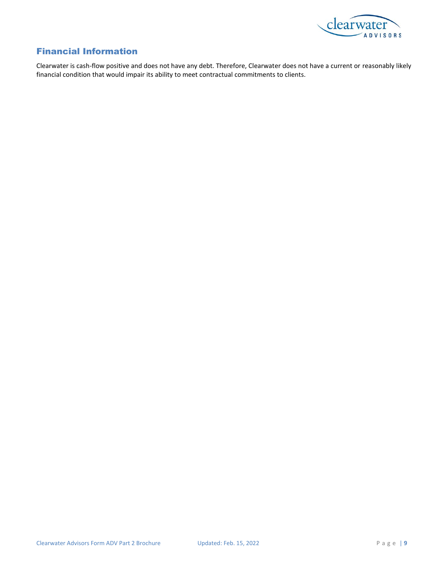

# <span id="page-9-0"></span>Financial Information

Clearwater is cash-flow positive and does not have any debt. Therefore, Clearwater does not have a current or reasonably likely financial condition that would impair its ability to meet contractual commitments to clients.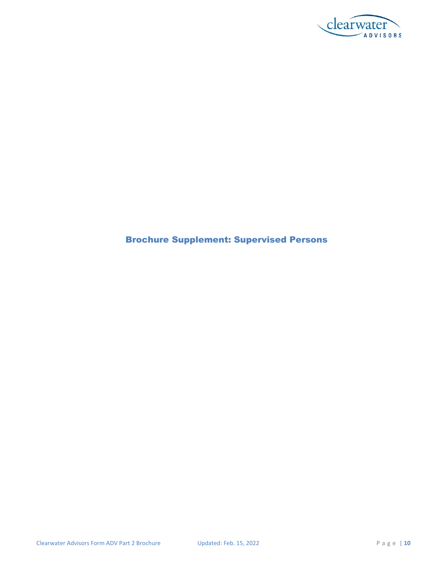

# <span id="page-10-0"></span>Brochure Supplement: Supervised Persons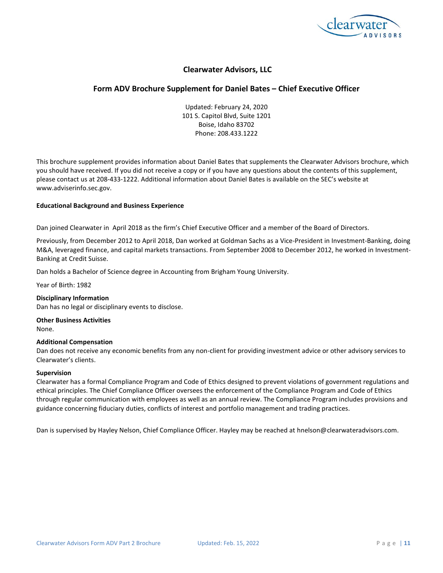

# **Form ADV Brochure Supplement for Daniel Bates – Chief Executive Officer**

Updated: February 24, 2020 101 S. Capitol Blvd, Suite 1201 Boise, Idaho 83702 Phone: 208.433.1222

This brochure supplement provides information about Daniel Bates that supplements the Clearwater Advisors brochure, which you should have received. If you did not receive a copy or if you have any questions about the contents of this supplement, please contact us at 208-433-1222. Additional information about Daniel Bates is available on the SEC's website at www.adviserinfo.sec.gov.

#### **Educational Background and Business Experience**

Dan joined Clearwater in April 2018 as the firm's Chief Executive Officer and a member of the Board of Directors.

Previously, from December 2012 to April 2018, Dan worked at Goldman Sachs as a Vice-President in Investment-Banking, doing M&A, leveraged finance, and capital markets transactions. From September 2008 to December 2012, he worked in Investment-Banking at Credit Suisse.

Dan holds a Bachelor of Science degree in Accounting from Brigham Young University.

Year of Birth: 1982

### **Disciplinary Information**

Dan has no legal or disciplinary events to disclose.

**Other Business Activities** None.

#### **Additional Compensation**

Dan does not receive any economic benefits from any non-client for providing investment advice or other advisory services to Clearwater's clients.

#### **Supervision**

Clearwater has a formal Compliance Program and Code of Ethics designed to prevent violations of government regulations and ethical principles. The Chief Compliance Officer oversees the enforcement of the Compliance Program and Code of Ethics through regular communication with employees as well as an annual review. The Compliance Program includes provisions and guidance concerning fiduciary duties, conflicts of interest and portfolio management and trading practices.

Dan is supervised by Hayley Nelson, Chief Compliance Officer. Hayley may be reached at hnelson@clearwateradvisors.com.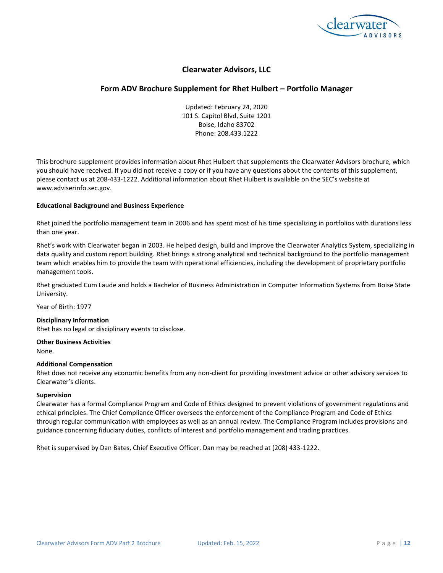

# **Form ADV Brochure Supplement for Rhet Hulbert – Portfolio Manager**

Updated: February 24, 2020 101 S. Capitol Blvd, Suite 1201 Boise, Idaho 83702 Phone: 208.433.1222

This brochure supplement provides information about Rhet Hulbert that supplements the Clearwater Advisors brochure, which you should have received. If you did not receive a copy or if you have any questions about the contents of this supplement, please contact us at 208-433-1222. Additional information about Rhet Hulbert is available on the SEC's website at www.adviserinfo.sec.gov.

#### **Educational Background and Business Experience**

Rhet joined the portfolio management team in 2006 and has spent most of his time specializing in portfolios with durations less than one year.

Rhet's work with Clearwater began in 2003. He helped design, build and improve the Clearwater Analytics System, specializing in data quality and custom report building. Rhet brings a strong analytical and technical background to the portfolio management team which enables him to provide the team with operational efficiencies, including the development of proprietary portfolio management tools.

Rhet graduated Cum Laude and holds a Bachelor of Business Administration in Computer Information Systems from Boise State University.

Year of Birth: 1977

#### **Disciplinary Information**

Rhet has no legal or disciplinary events to disclose.

**Other Business Activities** None.

#### **Additional Compensation**

Rhet does not receive any economic benefits from any non-client for providing investment advice or other advisory services to Clearwater's clients.

#### **Supervision**

Clearwater has a formal Compliance Program and Code of Ethics designed to prevent violations of government regulations and ethical principles. The Chief Compliance Officer oversees the enforcement of the Compliance Program and Code of Ethics through regular communication with employees as well as an annual review. The Compliance Program includes provisions and guidance concerning fiduciary duties, conflicts of interest and portfolio management and trading practices.

Rhet is supervised by Dan Bates, Chief Executive Officer. Dan may be reached at (208) 433-1222.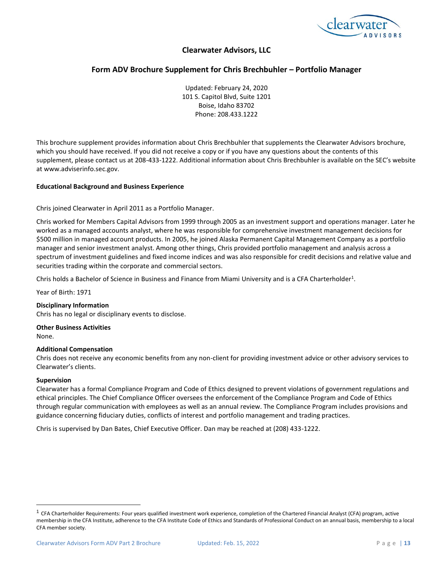

# **Form ADV Brochure Supplement for Chris Brechbuhler – Portfolio Manager**

Updated: February 24, 2020 101 S. Capitol Blvd, Suite 1201 Boise, Idaho 83702 Phone: 208.433.1222

This brochure supplement provides information about Chris Brechbuhler that supplements the Clearwater Advisors brochure, which you should have received. If you did not receive a copy or if you have any questions about the contents of this supplement, please contact us at 208-433-1222. Additional information about Chris Brechbuhler is available on the SEC's website at www.adviserinfo.sec.gov.

#### **Educational Background and Business Experience**

Chris joined Clearwater in April 2011 as a Portfolio Manager.

Chris worked for Members Capital Advisors from 1999 through 2005 as an investment support and operations manager. Later he worked as a managed accounts analyst, where he was responsible for comprehensive investment management decisions for \$500 million in managed account products. In 2005, he joined Alaska Permanent Capital Management Company as a portfolio manager and senior investment analyst. Among other things, Chris provided portfolio management and analysis across a spectrum of investment guidelines and fixed income indices and was also responsible for credit decisions and relative value and securities trading within the corporate and commercial sectors.

Chris holds a Bachelor of Science in Business and Finance from Miami University and is a CFA Charterholder<sup>1</sup>.

Year of Birth: 1971

#### **Disciplinary Information**

Chris has no legal or disciplinary events to disclose.

**Other Business Activities** None.

#### **Additional Compensation**

Chris does not receive any economic benefits from any non-client for providing investment advice or other advisory services to Clearwater's clients.

#### **Supervision**

Clearwater has a formal Compliance Program and Code of Ethics designed to prevent violations of government regulations and ethical principles. The Chief Compliance Officer oversees the enforcement of the Compliance Program and Code of Ethics through regular communication with employees as well as an annual review. The Compliance Program includes provisions and guidance concerning fiduciary duties, conflicts of interest and portfolio management and trading practices.

Chris is supervised by Dan Bates, Chief Executive Officer. Dan may be reached at (208) 433-1222.

 $1$  CFA Charterholder Requirements: Four years qualified investment work experience, completion of the Chartered Financial Analyst (CFA) program, active membership in the CFA Institute, adherence to the CFA Institute Code of Ethics and Standards of Professional Conduct on an annual basis, membership to a local CFA member society.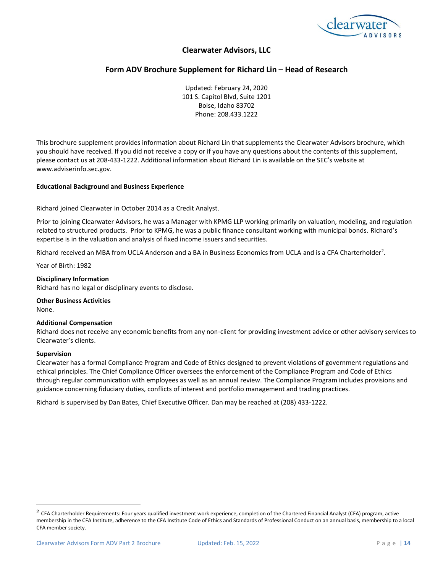

# **Form ADV Brochure Supplement for Richard Lin – Head of Research**

Updated: February 24, 2020 101 S. Capitol Blvd, Suite 1201 Boise, Idaho 83702 Phone: 208.433.1222

This brochure supplement provides information about Richard Lin that supplements the Clearwater Advisors brochure, which you should have received. If you did not receive a copy or if you have any questions about the contents of this supplement, please contact us at 208-433-1222. Additional information about Richard Lin is available on the SEC's website at www.adviserinfo.sec.gov.

#### **Educational Background and Business Experience**

Richard joined Clearwater in October 2014 as a Credit Analyst.

Prior to joining Clearwater Advisors, he was a Manager with KPMG LLP working primarily on valuation, modeling, and regulation related to structured products. Prior to KPMG, he was a public finance consultant working with municipal bonds. Richard's expertise is in the valuation and analysis of fixed income issuers and securities.

Richard received an MBA from UCLA Anderson and a BA in Business Economics from UCLA and is a CFA Charterholder<sup>2</sup>.

Year of Birth: 1982

#### **Disciplinary Information**

Richard has no legal or disciplinary events to disclose.

**Other Business Activities** None.

#### **Additional Compensation**

Richard does not receive any economic benefits from any non-client for providing investment advice or other advisory services to Clearwater's clients.

#### **Supervision**

Clearwater has a formal Compliance Program and Code of Ethics designed to prevent violations of government regulations and ethical principles. The Chief Compliance Officer oversees the enforcement of the Compliance Program and Code of Ethics through regular communication with employees as well as an annual review. The Compliance Program includes provisions and guidance concerning fiduciary duties, conflicts of interest and portfolio management and trading practices.

Richard is supervised by Dan Bates, Chief Executive Officer. Dan may be reached at (208) 433-1222.

<sup>&</sup>lt;sup>2</sup> CFA Charterholder Requirements: Four years qualified investment work experience, completion of the Chartered Financial Analyst (CFA) program, active membership in the CFA Institute, adherence to the CFA Institute Code of Ethics and Standards of Professional Conduct on an annual basis, membership to a local CFA member society.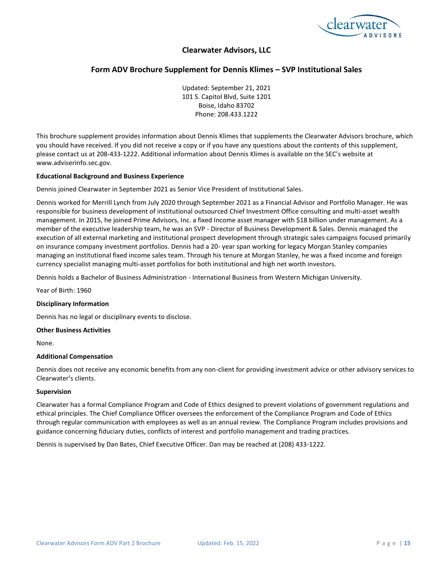

# **Form ADV Brochure Supplement for Dennis Klimes – SVP Institutional Sales**

Updated: September 21, 2021 101 S. Capitol Blvd, Suite 1201 Boise, Idaho 83702 Phone: 208.433.1222

This brochure supplement provides information about Dennis Klimes that supplements the Clearwater Advisors brochure, which you should have received. If you did not receive a copy or if you have any questions about the contents of this supplement, please contact us at 208-433-1222. Additional information about Dennis Klimes is available on the SEC's website at www.adviserinfo.sec.gov.

#### **Educational Background and Business Experience**

Dennis joined Clearwater in September 2021 as Senior Vice President of Institutional Sales.

Dennis worked for Merrill Lynch from July 2020 through September 2021 as a Financial Advisor and Portfolio Manager. He was responsible for business development of institutional outsourced Chief Investment Office consulting and multi-asset wealth management. In 2015, he joined Prime Advisors, Inc. a fixed Income asset manager with \$18 billion under management. As a member of the executive leadership team, he was an SVP - Director of Business Development & Sales. Dennis managed the execution of all external marketing and institutional prospect development through strategic sales campaigns focused primarily on insurance company investment portfolios. Dennis had a 20- year span working for legacy Morgan Stanley companies managing an institutional fixed income sales team. Through his tenure at Morgan Stanley, he was a fixed income and foreign currency specialist managing multi-asset portfolios for both institutional and high net worth investors.

Dennis holds a Bachelor of Business Administration - International Business from Western Michigan University.

Year of Birth: 1960

#### **Disciplinary Information**

Dennis has no legal or disciplinary events to disclose.

#### **Other Business Activities**

None.

#### **Additional Compensation**

Dennis does not receive any economic benefits from any non-client for providing investment advice or other advisory services to Clearwater's clients.

#### **Supervision**

Clearwater has a formal Compliance Program and Code of Ethics designed to prevent violations of government regulations and ethical principles. The Chief Compliance Officer oversees the enforcement of the Compliance Program and Code of Ethics through regular communication with employees as well as an annual review. The Compliance Program includes provisions and guidance concerning fiduciary duties, conflicts of interest and portfolio management and trading practices.

Dennis is supervised by Dan Bates, Chief Executive Officer. Dan may be reached at (208) 433-1222.